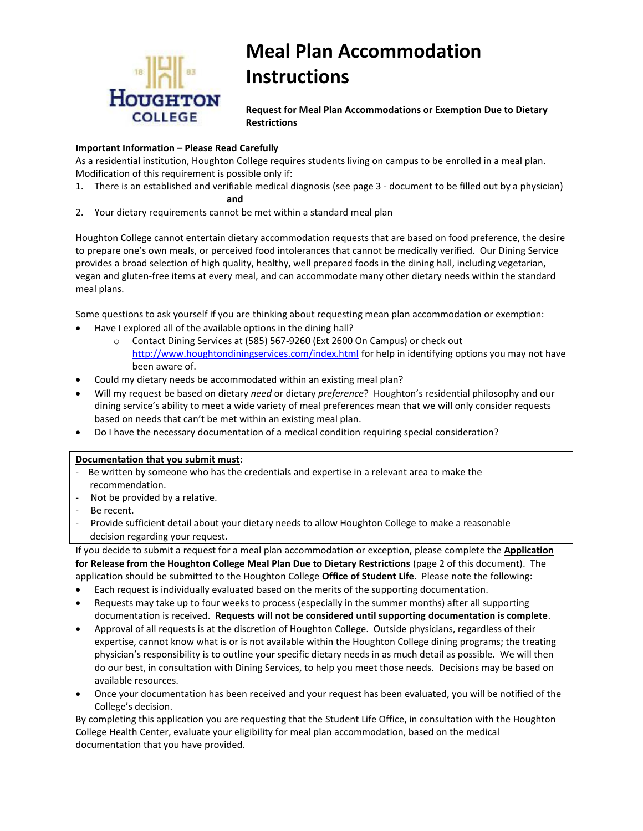

# **Meal Plan Accommodation Instructions**

**Request for Meal Plan Accommodations or Exemption Due to Dietary Restrictions**

#### **Important Information – Please Read Carefully**

As a residential institution, Houghton College requires students living on campus to be enrolled in a meal plan. Modification of this requirement is possible only if:

1. There is an established and verifiable medical diagnosis (see page 3 - document to be filled out by a physician)

#### **and**

2. Your dietary requirements cannot be met within a standard meal plan

Houghton College cannot entertain dietary accommodation requests that are based on food preference, the desire to prepare one's own meals, or perceived food intolerances that cannot be medically verified. Our Dining Service provides a broad selection of high quality, healthy, well prepared foods in the dining hall, including vegetarian, vegan and gluten-free items at every meal, and can accommodate many other dietary needs within the standard meal plans.

Some questions to ask yourself if you are thinking about requesting mean plan accommodation or exemption: Have I explored all of the available options in the dining hall?

- o Contact Dining Services at (585) 567-9260 (Ext 2600 On Campus) or check out <http://www.houghtondiningservices.com/index.html> for help in identifying options you may not have been aware of.
- Could my dietary needs be accommodated within an existing meal plan?
- Will my request be based on dietary *need* or dietary *preference*? Houghton's residential philosophy and our dining service's ability to meet a wide variety of meal preferences mean that we will only consider requests based on needs that can't be met within an existing meal plan.
- Do I have the necessary documentation of a medical condition requiring special consideration?

#### **Documentation that you submit must**:

- Be written by someone who has the credentials and expertise in a relevant area to make the recommendation.
- Not be provided by a relative.
- Be recent.
- Provide sufficient detail about your dietary needs to allow Houghton College to make a reasonable decision regarding your request.

If you decide to submit a request for a meal plan accommodation or exception, please complete the **Application for Release from the Houghton College Meal Plan Due to Dietary Restrictions** (page 2 of this document). The application should be submitted to the Houghton College **Office of Student Life**. Please note the following:

- Each request is individually evaluated based on the merits of the supporting documentation.
- Requests may take up to four weeks to process (especially in the summer months) after all supporting documentation is received. **Requests will not be considered until supporting documentation is complete**.
- Approval of all requests is at the discretion of Houghton College. Outside physicians, regardless of their expertise, cannot know what is or is not available within the Houghton College dining programs; the treating physician's responsibility is to outline your specific dietary needs in as much detail as possible. We will then do our best, in consultation with Dining Services, to help you meet those needs. Decisions may be based on available resources.
- Once your documentation has been received and your request has been evaluated, you will be notified of the College's decision.

By completing this application you are requesting that the Student Life Office, in consultation with the Houghton College Health Center, evaluate your eligibility for meal plan accommodation, based on the medical documentation that you have provided.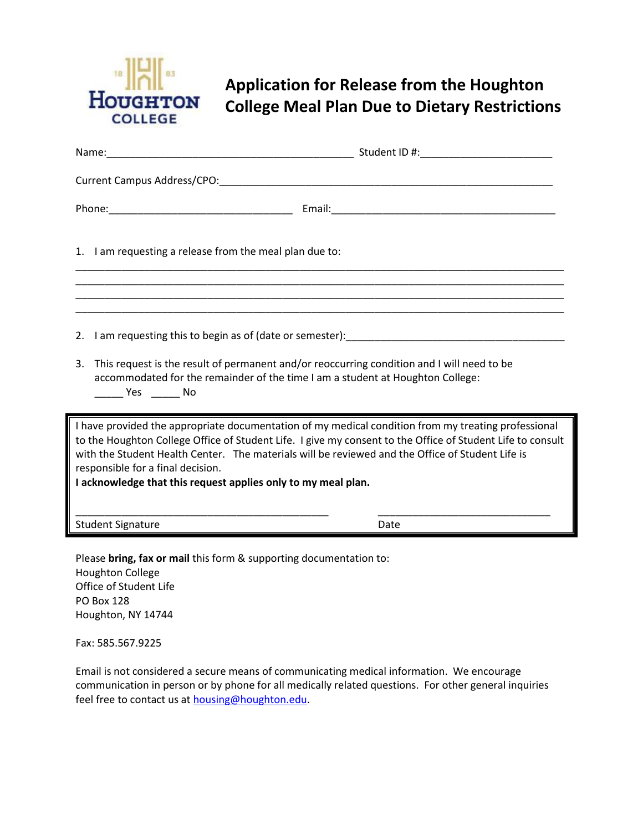

## **Application for Release from the Houghton College Meal Plan Due to Dietary Restrictions**

| Current Campus Address/CPO: North State State State State State State State State State State State State State State State State State State State State State State State State State State State State State State State St                                                                                                                                                                                              |      |
|-----------------------------------------------------------------------------------------------------------------------------------------------------------------------------------------------------------------------------------------------------------------------------------------------------------------------------------------------------------------------------------------------------------------------------|------|
|                                                                                                                                                                                                                                                                                                                                                                                                                             |      |
| 1. I am requesting a release from the meal plan due to:                                                                                                                                                                                                                                                                                                                                                                     |      |
|                                                                                                                                                                                                                                                                                                                                                                                                                             |      |
| 2. I am requesting this to begin as of (date or semester): The manuscript of the control of the control of the control of the control of the control of the control of the control of the control of the control of the contro                                                                                                                                                                                              |      |
| This request is the result of permanent and/or reoccurring condition and I will need to be<br>3.<br>accommodated for the remainder of the time I am a student at Houghton College:<br>No Yes No                                                                                                                                                                                                                             |      |
| I have provided the appropriate documentation of my medical condition from my treating professional<br>to the Houghton College Office of Student Life. I give my consent to the Office of Student Life to consult<br>with the Student Health Center. The materials will be reviewed and the Office of Student Life is<br>responsible for a final decision.<br>I acknowledge that this request applies only to my meal plan. |      |
| <b>Student Signature</b>                                                                                                                                                                                                                                                                                                                                                                                                    | Date |

Please **bring, fax or mail** this form & supporting documentation to: Houghton College Office of Student Life PO Box 128 Houghton, NY 14744

Fax: 585.567.9225

Email is not considered a secure means of communicating medical information. We encourage communication in person or by phone for all medically related questions. For other general inquiries feel free to contact us at [housing@houghton.edu.](mailto:housing@houghton.edu)